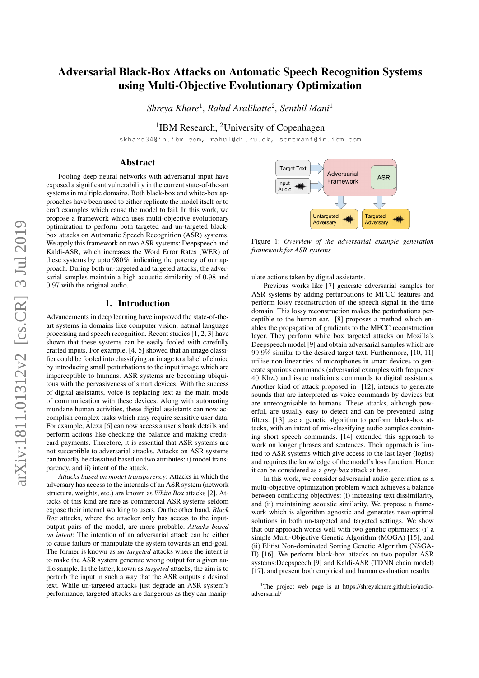# Adversarial Black-Box Attacks on Automatic Speech Recognition Systems using Multi-Objective Evolutionary Optimization

*Shreya Khare*<sup>1</sup> *, Rahul Aralikatte*<sup>2</sup> *, Senthil Mani*<sup>1</sup>

<sup>1</sup>IBM Research, <sup>2</sup>University of Copenhagen

skhare34@in.ibm.com, rahul@di.ku.dk, sentmani@in.ibm.com

#### Abstract

Fooling deep neural networks with adversarial input have exposed a significant vulnerability in the current state-of-the-art systems in multiple domains. Both black-box and white-box approaches have been used to either replicate the model itself or to craft examples which cause the model to fail. In this work, we propose a framework which uses multi-objective evolutionary optimization to perform both targeted and un-targeted blackbox attacks on Automatic Speech Recognition (ASR) systems. We apply this framework on two ASR systems: Deepspeech and Kaldi-ASR, which increases the Word Error Rates (WER) of these systems by upto 980%, indicating the potency of our approach. During both un-targeted and targeted attacks, the adversarial samples maintain a high acoustic similarity of 0.98 and 0.97 with the original audio.

## 1. Introduction

Advancements in deep learning have improved the state-of-theart systems in domains like computer vision, natural language processing and speech recognition. Recent studies [1, 2, 3] have shown that these systems can be easily fooled with carefully crafted inputs. For example, [4, 5] showed that an image classifier could be fooled into classifying an image to a label of choice by introducing small perturbations to the input image which are imperceptible to humans. ASR systems are becoming ubiquitous with the pervasiveness of smart devices. With the success of digital assistants, voice is replacing text as the main mode of communication with these devices. Along with automating mundane human activities, these digital assistants can now accomplish complex tasks which may require sensitive user data. For example, Alexa [6] can now access a user's bank details and perform actions like checking the balance and making creditcard payments. Therefore, it is essential that ASR systems are not susceptible to adversarial attacks. Attacks on ASR systems can broadly be classified based on two attributes: i) model transparency, and ii) intent of the attack.

*Attacks based on model transparency*: Attacks in which the adversary has access to the internals of an ASR system (network structure, weights, etc.) are known as *White Box* attacks [2]. Attacks of this kind are rare as commercial ASR systems seldom expose their internal working to users. On the other hand, *Black Box* attacks, where the attacker only has access to the inputoutput pairs of the model, are more probable. *Attacks based on intent*: The intention of an adversarial attack can be either to cause failure or manipulate the system towards an end-goal. The former is known as *un-targeted* attacks where the intent is to make the ASR system generate wrong output for a given audio sample. In the latter, known as *targeted* attacks, the aim is to perturb the input in such a way that the ASR outputs a desired text. While un-targeted attacks just degrade an ASR system's performance, targeted attacks are dangerous as they can manip-



Figure 1: *Overview of the adversarial example generation framework for ASR systems*

ulate actions taken by digital assistants.

Previous works like [7] generate adversarial samples for ASR systems by adding perturbations to MFCC features and perform lossy reconstruction of the speech signal in the time domain. This lossy reconstruction makes the perturbations perceptible to the human ear. [8] proposes a method which enables the propagation of gradients to the MFCC reconstruction layer. They perform white box targeted attacks on Mozilla's Deepspeech model [9] and obtain adversarial samples which are 99.9% similar to the desired target text. Furthermore, [10, 11] utilise non-linearities of microphones in smart devices to generate spurious commands (adversarial examples with frequency 40 Khz.) and issue malicious commands to digital assistants. Another kind of attack proposed in [12], intends to generate sounds that are interpreted as voice commands by devices but are unrecognisable to humans. These attacks, although powerful, are usually easy to detect and can be prevented using filters. [13] use a genetic algorithm to perform black-box attacks, with an intent of mis-classifying audio samples containing short speech commands. [14] extended this approach to work on longer phrases and sentences. Their approach is limited to ASR systems which give access to the last layer (logits) and requires the knowledge of the model's loss function. Hence it can be considered as a *grey-box* attack at best.

In this work, we consider adversarial audio generation as a multi-objective optimization problem which achieves a balance between conflicting objectives: (i) increasing text dissimilarity, and (ii) maintaining acoustic similarity. We propose a framework which is algorithm agnostic and generates near-optimal solutions in both un-targeted and targeted settings. We show that our approach works well with two genetic optimizers: (i) a simple Multi-Objective Genetic Algorithm (MOGA) [15], and (ii) Elitist Non-dominated Sorting Genetic Algorithm (NSGA-II) [16]. We perform black-box attacks on two popular ASR systems:Deepspeech [9] and Kaldi-ASR (TDNN chain model) [17], and present both empirical and human evaluation results

<sup>&</sup>lt;sup>1</sup>The project web page is at https://shreyakhare.github.io/audioadversarial/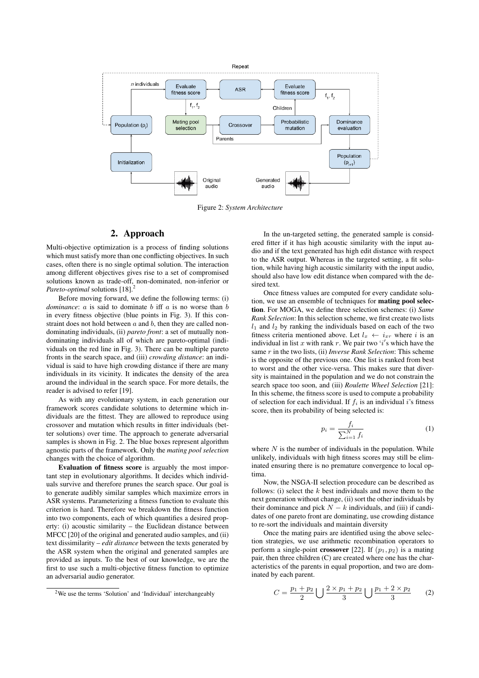

Figure 2: *System Architecture*

### 2. Approach

Multi-objective optimization is a process of finding solutions which must satisfy more than one conflicting objectives. In such cases, often there is no single optimal solution. The interaction among different objectives gives rise to a set of compromised solutions known as trade-off, non-dominated, non-inferior or *Pareto-optimal* solutions [18].<sup>2</sup>

Before moving forward, we define the following terms: (i) *dominance*:  $a$  is said to dominate  $b$  iff  $a$  is no worse than  $b$ in every fitness objective (blue points in Fig. 3). If this constraint does not hold between  $a$  and  $b$ , then they are called nondominating individuals, (ii) *pareto front*: a set of mutually nondominating individuals all of which are pareto-optimal (individuals on the red line in Fig. 3). There can be multiple pareto fronts in the search space, and (iii) *crowding distance*: an individual is said to have high crowding distance if there are many individuals in its vicinity. It indicates the density of the area around the individual in the search space. For more details, the reader is advised to refer [19].

As with any evolutionary system, in each generation our framework scores candidate solutions to determine which individuals are the fittest. They are allowed to reproduce using crossover and mutation which results in fitter individuals (better solutions) over time. The approach to generate adversarial samples is shown in Fig. 2. The blue boxes represent algorithm agnostic parts of the framework. Only the *mating pool selection* changes with the choice of algorithm.

Evaluation of fitness score is arguably the most important step in evolutionary algorithms. It decides which individuals survive and therefore prunes the search space. Our goal is to generate audibly similar samples which maximize errors in ASR systems. Parameterizing a fitness function to evaluate this criterion is hard. Therefore we breakdown the fitness function into two components, each of which quantifies a desired property: (i) acoustic similarity – the Euclidean distance between MFCC [20] of the original and generated audio samples, and (ii) text dissimilarity – *edit distance* between the texts generated by the ASR system when the original and generated samples are provided as inputs. To the best of our knowledge, we are the first to use such a multi-objective fitness function to optimize an adversarial audio generator.

In the un-targeted setting, the generated sample is considered fitter if it has high acoustic similarity with the input audio and if the text generated has high edit distance with respect to the ASR output. Whereas in the targeted setting, a fit solution, while having high acoustic similarity with the input audio, should also have low edit distance when compared with the desired text.

Once fitness values are computed for every candidate solution, we use an ensemble of techniques for mating pool selection. For MOGA, we define three selection schemes: (i) *Same Rank Selection*: In this selection scheme, we first create two lists  $l_1$  and  $l_2$  by ranking the individuals based on each of the two fitness criteria mentioned above. Let  $l_x \leftarrow i_{xr}$  where i is an individual in list x with rank r. We pair two 'i's which have the same r in the two lists, (ii) *Inverse Rank Selection*: This scheme is the opposite of the previous one. One list is ranked from best to worst and the other vice-versa. This makes sure that diversity is maintained in the population and we do not constrain the search space too soon, and (iii) *Roulette Wheel Selection* [21]: In this scheme, the fitness score is used to compute a probability of selection for each individual. If  $f_i$  is an individual i's fitness score, then its probability of being selected is:

$$
p_i = \frac{f_i}{\sum_{i=1}^{N} f_i} \tag{1}
$$

where  $N$  is the number of individuals in the population. While unlikely, individuals with high fitness scores may still be eliminated ensuring there is no premature convergence to local optima.

Now, the NSGA-II selection procedure can be described as follows: (i) select the  $k$  best individuals and move them to the next generation without change, (ii) sort the other individuals by their dominance and pick  $N - k$  individuals, and (iii) if candidates of one pareto front are dominating, use crowding distance to re-sort the individuals and maintain diversity

Once the mating pairs are identified using the above selection strategies, we use arithmetic recombination operators to perform a single-point **crossover** [22]. If  $(p_1, p_2)$  is a mating pair, then three children (C) are created where one has the characteristics of the parents in equal proportion, and two are dominated by each parent.

$$
C = \frac{p_1 + p_2}{2} \bigcup \frac{2 \times p_1 + p_2}{3} \bigcup \frac{p_1 + 2 \times p_2}{3} \qquad (2)
$$

<sup>2</sup>We use the terms 'Solution' and 'Individual' interchangeably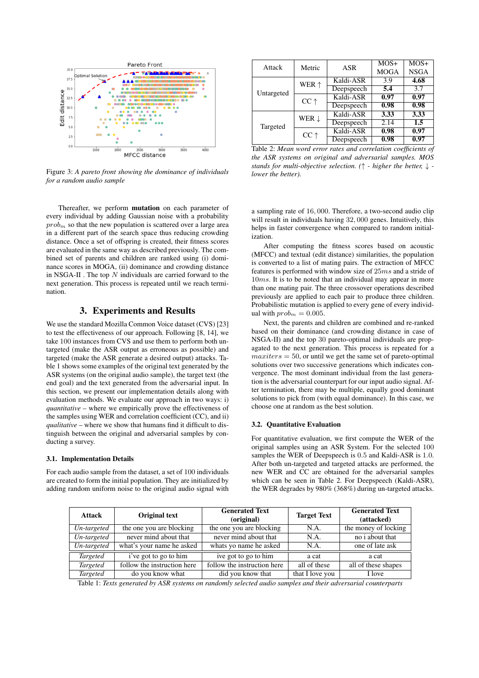

Figure 3: *A pareto front showing the dominance of individuals for a random audio sample*

Thereafter, we perform mutation on each parameter of every individual by adding Gaussian noise with a probability  $prob<sub>m</sub>$  so that the new population is scattered over a large area in a different part of the search space thus reducing crowding distance. Once a set of offspring is created, their fitness scores are evaluated in the same way as described previously. The combined set of parents and children are ranked using (i) dominance scores in MOGA, (ii) dominance and crowding distance in NSGA-II . The top  $N$  individuals are carried forward to the next generation. This process is repeated until we reach termination.

## 3. Experiments and Results

We use the standard Mozilla Common Voice dataset (CVS) [23] to test the effectiveness of our approach. Following [8, 14], we take 100 instances from CVS and use them to perform both untargeted (make the ASR output as erroneous as possible) and targeted (make the ASR generate a desired output) attacks. Table 1 shows some examples of the original text generated by the ASR systems (on the original audio sample), the target text (the end goal) and the text generated from the adversarial input. In this section, we present our implementation details along with evaluation methods. We evaluate our approach in two ways: i) *quantitative* – where we empirically prove the effectiveness of the samples using WER and correlation coefficient (CC), and ii) *qualitative* – where we show that humans find it difficult to distinguish between the original and adversarial samples by conducting a survey.

#### 3.1. Implementation Details

For each audio sample from the dataset, a set of 100 individuals are created to form the initial population. They are initialized by adding random uniform noise to the original audio signal with

| Attack     | Metric           | ASR        | $MOS+$      | $MOS+$      |
|------------|------------------|------------|-------------|-------------|
|            |                  |            | <b>MOGA</b> | <b>NSGA</b> |
| Untargeted | WER $\uparrow$   | Kaldi-ASR  | 3.9         | 4.68        |
|            |                  | Deepspeech | 5.4         | 3.7         |
|            | $CC \uparrow$    | Kaldi-ASR  | 0.97        | 0.97        |
|            |                  | Deepspeech | 0.98        | 0.98        |
| Targeted   | WER $\downarrow$ | Kaldi-ASR  | 3.33        | 3.33        |
|            |                  | Deepspeech | 2.14        | 1.5         |
|            | $CC \uparrow$    | Kaldi-ASR  | 0.98        | 0.97        |
|            |                  | Deepspeech | 0.98        | 0.97        |

Table 2: *Mean word error rates and correlation coefficients of the ASR systems on original and adversarial samples. MOS stands for multi-objective selection. (*↑ *- higher the better,* ↓  *lower the better).*

a sampling rate of 16, 000. Therefore, a two-second audio clip will result in individuals having 32, 000 genes. Intuitively, this helps in faster convergence when compared to random initialization.

After computing the fitness scores based on acoustic (MFCC) and textual (edit distance) similarities, the population is converted to a list of mating pairs. The extraction of MFCC features is performed with window size of 25ms and a stride of  $10ms$ . It is to be noted that an individual may appear in more than one mating pair. The three crossover operations described previously are applied to each pair to produce three children. Probabilistic mutation is applied to every gene of every individual with  $prob_m = 0.005$ .

Next, the parents and children are combined and re-ranked based on their dominance (and crowding distance in case of NSGA-II) and the top 30 pareto-optimal individuals are propagated to the next generation. This process is repeated for a  $maxiters = 50$ , or until we get the same set of pareto-optimal solutions over two successive generations which indicates convergence. The most dominant individual from the last generation is the adversarial counterpart for our input audio signal. After termination, there may be multiple, equally good dominant solutions to pick from (with equal dominance). In this case, we choose one at random as the best solution.

#### 3.2. Quantitative Evaluation

For quantitative evaluation, we first compute the WER of the original samples using an ASR System. For the selected 100 samples the WER of Deepspeech is 0.5 and Kaldi-ASR is 1.0. After both un-targeted and targeted attacks are performed, the new WER and CC are obtained for the adversarial samples which can be seen in Table 2. For Deepspeech (Kaldi-ASR), the WER degrades by 980% (368%) during un-targeted attacks.

| <b>Attack</b>   | Original text               | <b>Generated Text</b><br>(original) | <b>Target Text</b> | <b>Generated Text</b><br>(attacked) |
|-----------------|-----------------------------|-------------------------------------|--------------------|-------------------------------------|
| Un-targeted     | the one you are blocking    | the one you are blocking            | N.A.               | the money of locking                |
| Un-targeted     | never mind about that       | never mind about that               | N.A.               | no i about that                     |
| Un-targeted     | what's your name he asked   | whats yo name he asked              | N.A.               | one of late ask                     |
| <b>Targeted</b> | i've got to go to him       | ive got to go to him                | a cat              | a cat                               |
| <b>Targeted</b> | follow the instruction here | follow the instruction here         | all of these       | all of these shapes                 |
| <b>Targeted</b> | do you know what            | did you know that                   | that I love you    | I love                              |

Table 1: *Texts generated by ASR systems on randomly selected audio samples and their adversarial counterparts*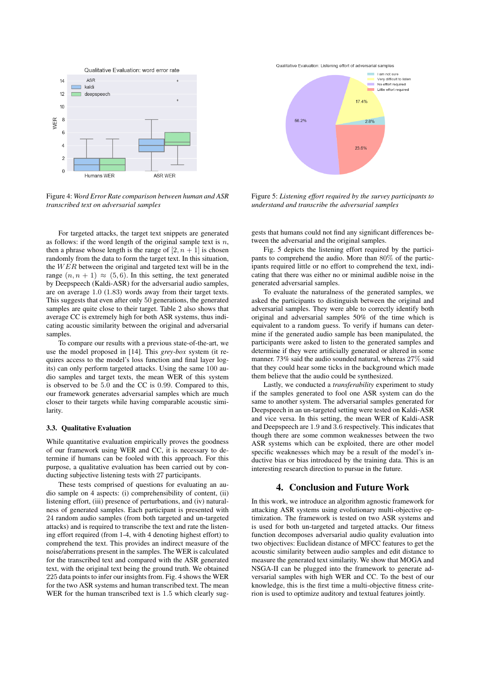

Figure 4: *Word Error Rate comparison between human and ASR transcribed text on adversarial samples*

For targeted attacks, the target text snippets are generated as follows: if the word length of the original sample text is  $n$ , then a phrase whose length is the range of  $[2, n + 1]$  is chosen randomly from the data to form the target text. In this situation, the  $WER$  between the original and targeted text will be in the range  $(n, n + 1) \approx (5, 6)$ . In this setting, the text generated by Deepspeech (Kaldi-ASR) for the adversarial audio samples, are on average 1.0 (1.83) words away from their target texts. This suggests that even after only 50 generations, the generated samples are quite close to their target. Table 2 also shows that average CC is extremely high for both ASR systems, thus indicating acoustic similarity between the original and adversarial samples.

To compare our results with a previous state-of-the-art, we use the model proposed in [14]. This *grey-box* system (it requires access to the model's loss function and final layer logits) can only perform targeted attacks. Using the same 100 audio samples and target texts, the mean WER of this system is observed to be 5.0 and the CC is 0.99. Compared to this, our framework generates adversarial samples which are much closer to their targets while having comparable acoustic similarity.

#### 3.3. Qualitative Evaluation

While quantitative evaluation empirically proves the goodness of our framework using WER and CC, it is necessary to determine if humans can be fooled with this approach. For this purpose, a qualitative evaluation has been carried out by conducting subjective listening tests with 27 participants.

These tests comprised of questions for evaluating an audio sample on 4 aspects: (i) comprehensibility of content, (ii) listening effort, (iii) presence of perturbations, and (iv) naturalness of generated samples. Each participant is presented with 24 random audio samples (from both targeted and un-targeted attacks) and is required to transcribe the text and rate the listening effort required (from 1-4, with 4 denoting highest effort) to comprehend the text. This provides an indirect measure of the noise/aberrations present in the samples. The WER is calculated for the transcribed text and compared with the ASR generated text, with the original text being the ground truth. We obtained 225 data points to infer our insights from. Fig. 4 shows the WER for the two ASR systems and human transcribed text. The mean WER for the human transcribed text is 1.5 which clearly sugQualitative Evaluation: Listening effort of adversarial samples



Figure 5: *Listening effort required by the survey participants to understand and transcribe the adversarial samples*

gests that humans could not find any significant differences between the adversarial and the original samples.

Fig. 5 depicts the listening effort required by the participants to comprehend the audio. More than 80% of the participants required little or no effort to comprehend the text, indicating that there was either no or minimal audible noise in the generated adversarial samples.

To evaluate the naturalness of the generated samples, we asked the participants to distinguish between the original and adversarial samples. They were able to correctly identify both original and adversarial samples 50% of the time which is equivalent to a random guess. To verify if humans can determine if the generated audio sample has been manipulated, the participants were asked to listen to the generated samples and determine if they were artificially generated or altered in some manner. 73% said the audio sounded natural, whereas 27% said that they could hear some ticks in the background which made them believe that the audio could be synthesized.

Lastly, we conducted a *transferability* experiment to study if the samples generated to fool one ASR system can do the same to another system. The adversarial samples generated for Deepspeech in an un-targeted setting were tested on Kaldi-ASR and vice versa. In this setting, the mean WER of Kaldi-ASR and Deepspeech are 1.9 and 3.6 respectively. This indicates that though there are some common weaknesses between the two ASR systems which can be exploited, there are other model specific weaknesses which may be a result of the model's inductive bias or bias introduced by the training data. This is an interesting research direction to pursue in the future.

#### 4. Conclusion and Future Work

In this work, we introduce an algorithm agnostic framework for attacking ASR systems using evolutionary multi-objective optimization. The framework is tested on two ASR systems and is used for both un-targeted and targeted attacks. Our fitness function decomposes adversarial audio quality evaluation into two objectives: Euclidean distance of MFCC features to get the acoustic similarity between audio samples and edit distance to measure the generated text similarity. We show that MOGA and NSGA-II can be plugged into the framework to generate adversarial samples with high WER and CC. To the best of our knowledge, this is the first time a multi-objective fitness criterion is used to optimize auditory and textual features jointly.